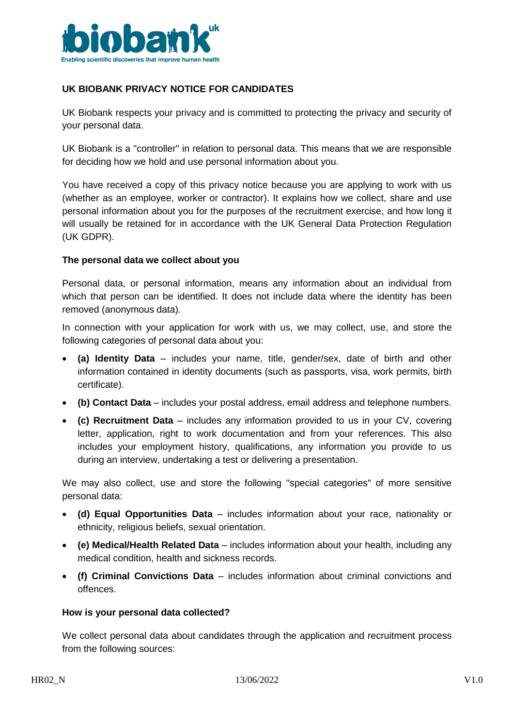

# **UK BIOBANK PRIVACY NOTICE FOR CANDIDATES**

UK Biobank respects your privacy and is committed to protecting the privacy and security of your personal data.

UK Biobank is a "controller" in relation to personal data. This means that we are responsible for deciding how we hold and use personal information about you.

You have received a copy of this privacy notice because you are applying to work with us (whether as an employee, worker or contractor). It explains how we collect, share and use personal information about you for the purposes of the recruitment exercise, and how long it will usually be retained for in accordance with the UK General Data Protection Regulation (UK GDPR).

#### **The personal data we collect about you**

Personal data, or personal information, means any information about an individual from which that person can be identified. It does not include data where the identity has been removed (anonymous data).

In connection with your application for work with us, we may collect, use, and store the following categories of personal data about you:

- **(a) Identity Data** includes your name, title, gender/sex, date of birth and other information contained in identity documents (such as passports, visa, work permits, birth certificate).
- **(b) Contact Data** includes your postal address, email address and telephone numbers.
- **(c) Recruitment Data**  includes any information provided to us in your CV, covering letter, application, right to work documentation and from your references. This also includes your employment history, qualifications, any information you provide to us during an interview, undertaking a test or delivering a presentation.

We may also collect, use and store the following "special categories" of more sensitive personal data:

- **(d) Equal Opportunities Data** includes information about your race, nationality or ethnicity, religious beliefs, sexual orientation.
- **(e) Medical/Health Related Data** includes information about your health, including any medical condition, health and sickness records.
- **(f) Criminal Convictions Data** includes information about criminal convictions and offences.

#### **How is your personal data collected?**

We collect personal data about candidates through the application and recruitment process from the following sources: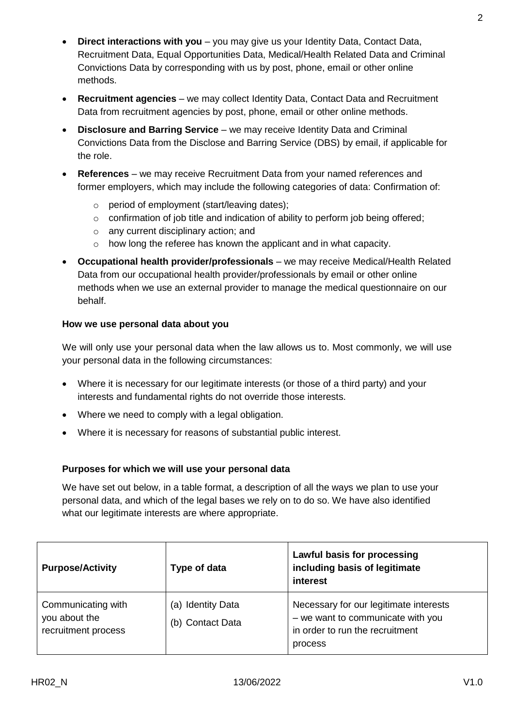- **Direct interactions with you** you may give us your Identity Data, Contact Data, Recruitment Data, Equal Opportunities Data, Medical/Health Related Data and Criminal Convictions Data by corresponding with us by post, phone, email or other online methods.
- **Recruitment agencies** we may collect Identity Data, Contact Data and Recruitment Data from recruitment agencies by post, phone, email or other online methods.
- **Disclosure and Barring Service** we may receive Identity Data and Criminal Convictions Data from the Disclose and Barring Service (DBS) by email, if applicable for the role.
- **References**  we may receive Recruitment Data from your named references and former employers, which may include the following categories of data: Confirmation of:
	- o period of employment (start/leaving dates);
	- $\circ$  confirmation of job title and indication of ability to perform job being offered;
	- o any current disciplinary action; and
	- o how long the referee has known the applicant and in what capacity.
- **Occupational health provider/professionals** we may receive Medical/Health Related Data from our occupational health provider/professionals by email or other online methods when we use an external provider to manage the medical questionnaire on our behalf.

### **How we use personal data about you**

We will only use your personal data when the law allows us to. Most commonly, we will use your personal data in the following circumstances:

- Where it is necessary for our legitimate interests (or those of a third party) and your interests and fundamental rights do not override those interests.
- Where we need to comply with a legal obligation.
- Where it is necessary for reasons of substantial public interest.

#### **Purposes for which we will use your personal data**

We have set out below, in a table format, a description of all the ways we plan to use your personal data, and which of the legal bases we rely on to do so. We have also identified what our legitimate interests are where appropriate.

| <b>Purpose/Activity</b>                                    | Type of data                          | Lawful basis for processing<br>including basis of legitimate<br>interest                                                  |
|------------------------------------------------------------|---------------------------------------|---------------------------------------------------------------------------------------------------------------------------|
| Communicating with<br>you about the<br>recruitment process | (a) Identity Data<br>(b) Contact Data | Necessary for our legitimate interests<br>- we want to communicate with you<br>in order to run the recruitment<br>process |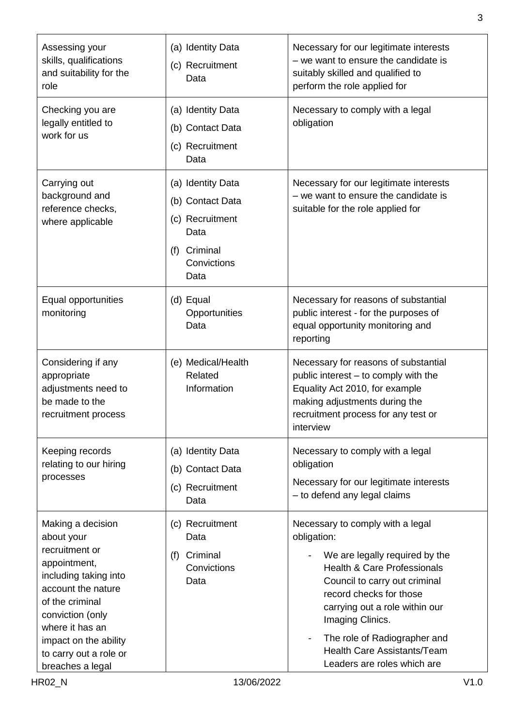| Assessing your<br>skills, qualifications<br>and suitability for the                                                                                                                                                                               | (a) Identity Data<br>(c) Recruitment<br>Data                                                            | Necessary for our legitimate interests<br>- we want to ensure the candidate is<br>suitably skilled and qualified to                                                                                                                                                                                                                                                            |
|---------------------------------------------------------------------------------------------------------------------------------------------------------------------------------------------------------------------------------------------------|---------------------------------------------------------------------------------------------------------|--------------------------------------------------------------------------------------------------------------------------------------------------------------------------------------------------------------------------------------------------------------------------------------------------------------------------------------------------------------------------------|
| role<br>Checking you are<br>legally entitled to<br>work for us                                                                                                                                                                                    | (a) Identity Data<br>(b) Contact Data<br>(c) Recruitment<br>Data                                        | perform the role applied for<br>Necessary to comply with a legal<br>obligation                                                                                                                                                                                                                                                                                                 |
| Carrying out<br>background and<br>reference checks,<br>where applicable                                                                                                                                                                           | (a) Identity Data<br>(b) Contact Data<br>(c) Recruitment<br>Data<br>(f) Criminal<br>Convictions<br>Data | Necessary for our legitimate interests<br>$-$ we want to ensure the candidate is<br>suitable for the role applied for                                                                                                                                                                                                                                                          |
| Equal opportunities<br>monitoring                                                                                                                                                                                                                 | (d) Equal<br>Opportunities<br>Data                                                                      | Necessary for reasons of substantial<br>public interest - for the purposes of<br>equal opportunity monitoring and<br>reporting                                                                                                                                                                                                                                                 |
| Considering if any<br>appropriate<br>adjustments need to<br>be made to the<br>recruitment process                                                                                                                                                 | (e) Medical/Health<br>Related<br>Information                                                            | Necessary for reasons of substantial<br>public interest - to comply with the<br>Equality Act 2010, for example<br>making adjustments during the<br>recruitment process for any test or<br>interview                                                                                                                                                                            |
| Keeping records<br>relating to our hiring<br>processes                                                                                                                                                                                            | (a) Identity Data<br>(b) Contact Data<br>(c) Recruitment<br>Data                                        | Necessary to comply with a legal<br>obligation<br>Necessary for our legitimate interests<br>- to defend any legal claims                                                                                                                                                                                                                                                       |
| Making a decision<br>about your<br>recruitment or<br>appointment,<br>including taking into<br>account the nature<br>of the criminal<br>conviction (only<br>where it has an<br>impact on the ability<br>to carry out a role or<br>breaches a legal | (c) Recruitment<br>Data<br>(f) Criminal<br>Convictions<br>Data                                          | Necessary to comply with a legal<br>obligation:<br>We are legally required by the<br><b>Health &amp; Care Professionals</b><br>Council to carry out criminal<br>record checks for those<br>carrying out a role within our<br>Imaging Clinics.<br>The role of Radiographer and<br>$\overline{\phantom{a}}$<br><b>Health Care Assistants/Team</b><br>Leaders are roles which are |
| <b>HR02_N</b>                                                                                                                                                                                                                                     | 13/06/2022                                                                                              | V1.0                                                                                                                                                                                                                                                                                                                                                                           |

3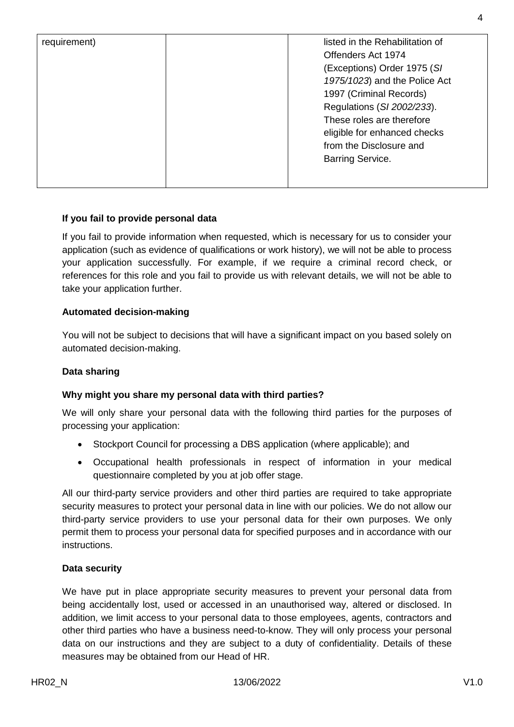| listed in the Rehabilitation of<br>requirement)<br>Offenders Act 1974<br>(Exceptions) Order 1975 (SI<br>1975/1023) and the Police Act<br>1997 (Criminal Records)<br>Regulations (SI 2002/233).<br>These roles are therefore<br>eligible for enhanced checks<br>from the Disclosure and<br><b>Barring Service.</b> |  |
|-------------------------------------------------------------------------------------------------------------------------------------------------------------------------------------------------------------------------------------------------------------------------------------------------------------------|--|

## **If you fail to provide personal data**

If you fail to provide information when requested, which is necessary for us to consider your application (such as evidence of qualifications or work history), we will not be able to process your application successfully. For example, if we require a criminal record check, or references for this role and you fail to provide us with relevant details, we will not be able to take your application further.

#### **Automated decision-making**

You will not be subject to decisions that will have a significant impact on you based solely on automated decision-making.

#### **Data sharing**

#### **Why might you share my personal data with third parties?**

We will only share your personal data with the following third parties for the purposes of processing your application:

- Stockport Council for processing a DBS application (where applicable); and
- Occupational health professionals in respect of information in your medical questionnaire completed by you at job offer stage.

All our third-party service providers and other third parties are required to take appropriate security measures to protect your personal data in line with our policies. We do not allow our third-party service providers to use your personal data for their own purposes. We only permit them to process your personal data for specified purposes and in accordance with our instructions.

#### **Data security**

We have put in place appropriate security measures to prevent your personal data from being accidentally lost, used or accessed in an unauthorised way, altered or disclosed. In addition, we limit access to your personal data to those employees, agents, contractors and other third parties who have a business need-to-know. They will only process your personal data on our instructions and they are subject to a duty of confidentiality. Details of these measures may be obtained from our Head of HR.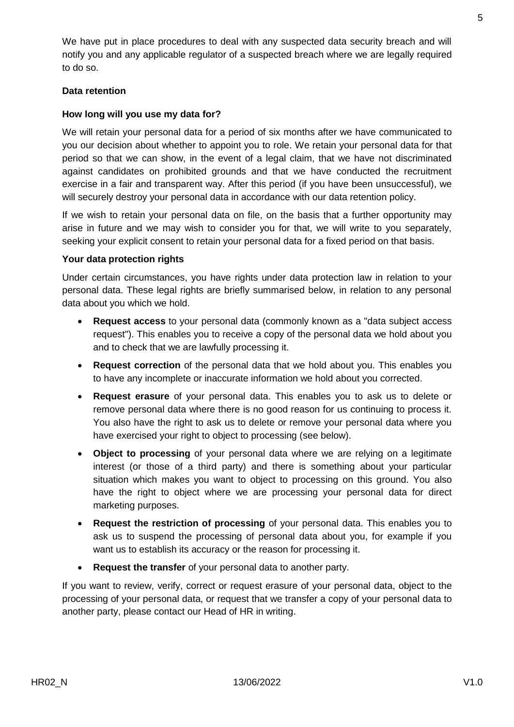We have put in place procedures to deal with any suspected data security breach and will notify you and any applicable regulator of a suspected breach where we are legally required to do so.

## **Data retention**

## **How long will you use my data for?**

We will retain your personal data for a period of six months after we have communicated to you our decision about whether to appoint you to role. We retain your personal data for that period so that we can show, in the event of a legal claim, that we have not discriminated against candidates on prohibited grounds and that we have conducted the recruitment exercise in a fair and transparent way. After this period (if you have been unsuccessful), we will securely destroy your personal data in accordance with our data retention policy.

If we wish to retain your personal data on file, on the basis that a further opportunity may arise in future and we may wish to consider you for that, we will write to you separately, seeking your explicit consent to retain your personal data for a fixed period on that basis.

#### **Your data protection rights**

Under certain circumstances, you have rights under data protection law in relation to your personal data. These legal rights are briefly summarised below, in relation to any personal data about you which we hold.

- **Request access** to your personal data (commonly known as a "data subject access request"). This enables you to receive a copy of the personal data we hold about you and to check that we are lawfully processing it.
- **Request correction** of the personal data that we hold about you. This enables you to have any incomplete or inaccurate information we hold about you corrected.
- **Request erasure** of your personal data. This enables you to ask us to delete or remove personal data where there is no good reason for us continuing to process it. You also have the right to ask us to delete or remove your personal data where you have exercised your right to object to processing (see below).
- **Object to processing** of your personal data where we are relying on a legitimate interest (or those of a third party) and there is something about your particular situation which makes you want to object to processing on this ground. You also have the right to object where we are processing your personal data for direct marketing purposes.
- **Request the restriction of processing** of your personal data. This enables you to ask us to suspend the processing of personal data about you, for example if you want us to establish its accuracy or the reason for processing it.
- **Request the transfer** of your personal data to another party.

If you want to review, verify, correct or request erasure of your personal data, object to the processing of your personal data, or request that we transfer a copy of your personal data to another party, please contact our Head of HR in writing.